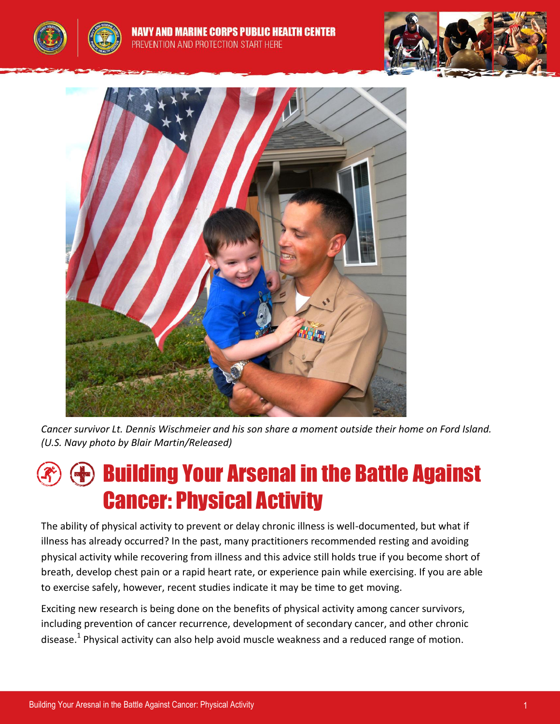





*Cancer survivor Lt. Dennis Wischmeier and his son share a moment outside their home on Ford Island. (U.S. Navy photo by Blair Martin/Released)*

# Building Your Arsenal in the Battle Against Cancer: Physical Activity

The ability of physical activity to prevent or delay chronic illness is well-documented, but what if illness has already occurred? In the past, many practitioners recommended resting and avoiding physical activity while recovering from illness and this advice still holds true if you become short of breath, develop chest pain or a rapid heart rate, or experience pain while exercising. If you are able to exercise safely, however, recent studies indicate it may be time to get moving.

Exciting new research is being done on the benefits of physical activity among cancer survivors, including prevention of cancer recurrence, development of secondary cancer, and other chronic disease.<sup>1</sup> Physical activity can also help avoid muscle weakness and a reduced range of motion.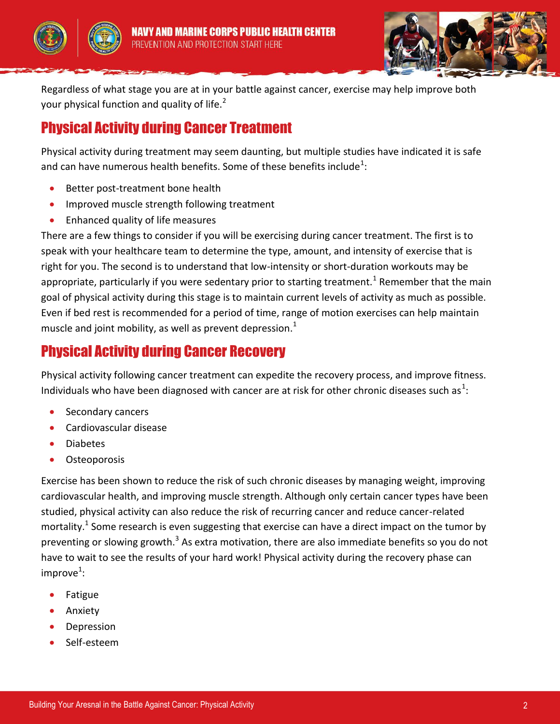





Regardless of what stage you are at in your battle against cancer, exercise may help improve both your physical function and quality of life. $2^2$ 

## Physical Activity during Cancer Treatment

Physical activity during treatment may seem daunting, but multiple studies have indicated it is safe and can have numerous health benefits. Some of these benefits include $^1$ :

- Better post-treatment bone health
- Improved muscle strength following treatment
- Enhanced quality of life measures

There are a few things to consider if you will be exercising during cancer treatment. The first is to speak with your healthcare team to determine the type, amount, and intensity of exercise that is right for you. The second is to understand that low-intensity or short-duration workouts may be appropriate, particularly if you were sedentary prior to starting treatment.<sup>1</sup> Remember that the main goal of physical activity during this stage is to maintain current levels of activity as much as possible. Even if bed rest is recommended for a period of time, range of motion exercises can help maintain muscle and joint mobility, as well as prevent depression.<sup>1</sup>

## Physical Activity during Cancer Recovery

Physical activity following cancer treatment can expedite the recovery process, and improve fitness. Individuals who have been diagnosed with cancer are at risk for other chronic diseases such as<sup>1</sup>:

- Secondary cancers
- Cardiovascular disease
- Diabetes
- **Osteoporosis**

Exercise has been shown to reduce the risk of such chronic diseases by managing weight, improving cardiovascular health, and improving muscle strength. Although only certain cancer types have been studied, physical activity can also reduce the risk of recurring cancer and reduce cancer-related mortality.<sup>1</sup> Some research is even suggesting that exercise can have a direct impact on the tumor by preventing or slowing growth.<sup>3</sup> As extra motivation, there are also immediate benefits so you do not have to wait to see the results of your hard work! Physical activity during the recovery phase can improve $^1$ :

- Fatigue
- Anxiety
- Depression
- Self-esteem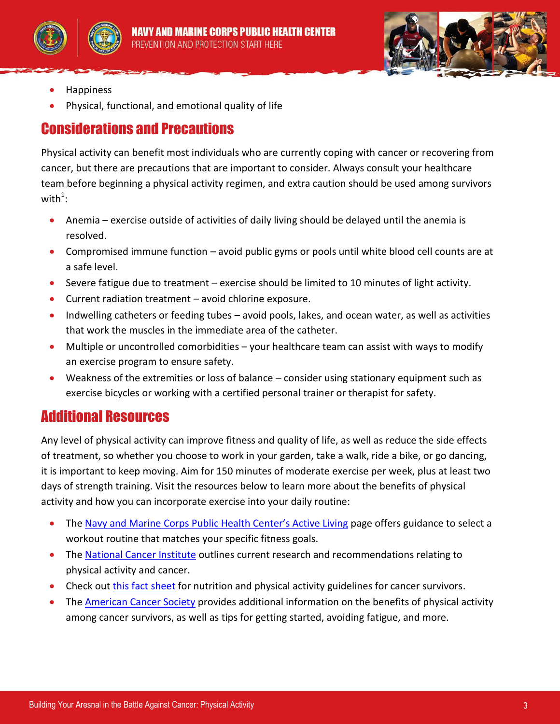





- Happiness
- Physical, functional, and emotional quality of life

### Considerations and Precautions

Physical activity can benefit most individuals who are currently coping with cancer or recovering from cancer, but there are precautions that are important to consider. Always consult your healthcare team before beginning a physical activity regimen, and extra caution should be used among survivors with $^1$ :

- Anemia exercise outside of activities of daily living should be delayed until the anemia is resolved.
- Compromised immune function avoid public gyms or pools until white blood cell counts are at a safe level.
- Severe fatigue due to treatment exercise should be limited to 10 minutes of light activity.
- Current radiation treatment avoid chlorine exposure.
- Indwelling catheters or feeding tubes avoid pools, lakes, and ocean water, as well as activities that work the muscles in the immediate area of the catheter.
- Multiple or uncontrolled comorbidities your healthcare team can assist with ways to modify an exercise program to ensure safety.
- Weakness of the extremities or loss of balance consider using stationary equipment such as exercise bicycles or working with a certified personal trainer or therapist for safety.

## Additional Resources

Any level of physical activity can improve fitness and quality of life, as well as reduce the side effects of treatment, so whether you choose to work in your garden, take a walk, ride a bike, or go dancing, it is important to keep moving. Aim for 150 minutes of moderate exercise per week, plus at least two days of strength training. Visit the resources below to learn more about the benefits of physical activity and how you can incorporate exercise into your daily routine:

- The [Navy and Marine Corps Public Health Center's Active Living](http://www.med.navy.mil/sites/nmcphc/health-promotion/active-living/Pages/active-living.aspx) page offers guidance to select a workout routine that matches your specific fitness goals.
- The [National Cancer Institute](http://www.cancer.gov/cancertopics/factsheet/prevention/physicalactivity) outlines current research and recommendations relating to physical activity and cancer.
- Check out [this fact sheet](http://onlinelibrary.wiley.com/doi/10.3322/caac.21146/pdf) for nutrition and physical activity guidelines for cancer survivors.
- The [American Cancer Society](http://www.cancer.org/treatment/survivorshipduringandaftertreatment/stayingactive/physical-activity-and-the-cancer-patient) provides additional information on the benefits of physical activity among cancer survivors, as well as tips for getting started, avoiding fatigue, and more.